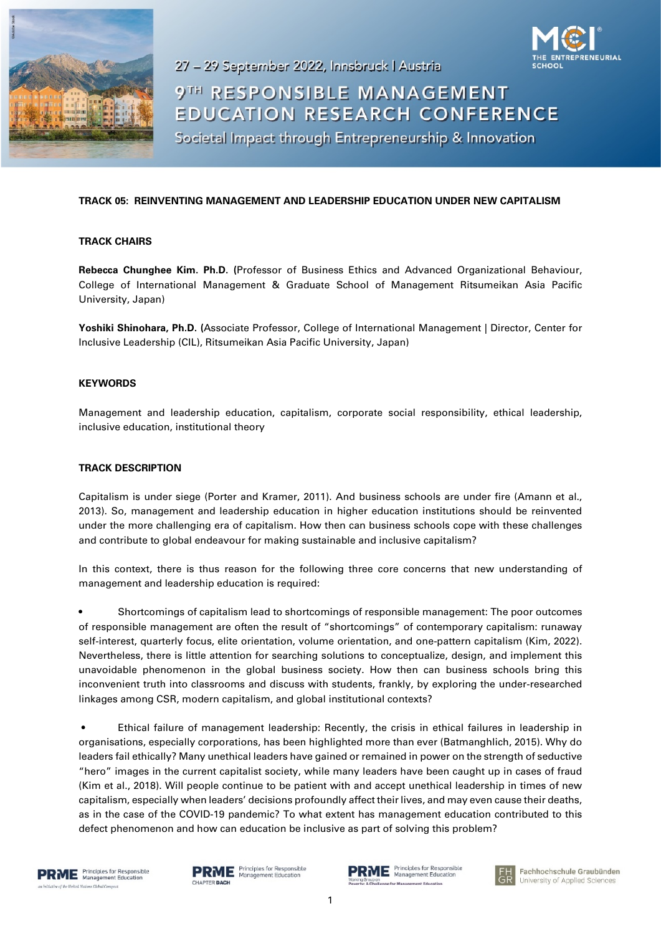

27 - 29 September 2022, Innsbruck | Austria

9TH RESPONSIBLE MANAGEMENT **EDUCATION RESEARCH CONFERENCE** 

Societal Impact through Entrepreneurship & Innovation

### **TRACK 05: REINVENTING MANAGEMENT AND LEADERSHIP EDUCATION UNDER NEW CAPITALISM**

#### **TRACK CHAIRS**

**Rebecca Chunghee Kim. Ph.D. (**Professor of Business Ethics and Advanced Organizational Behaviour, College of International Management & Graduate School of Management Ritsumeikan Asia Pacific University, Japan)

**Yoshiki Shinohara, Ph.D. (**Associate Professor, College of International Management | Director, Center for Inclusive Leadership (CIL), Ritsumeikan Asia Pacific University, Japan)

#### **KEYWORDS**

Management and leadership education, capitalism, corporate social responsibility, ethical leadership, inclusive education, institutional theory

#### **TRACK DESCRIPTION**

Capitalism is under siege (Porter and Kramer, 2011). And business schools are under fire (Amann et al., 2013). So, management and leadership education in higher education institutions should be reinvented under the more challenging era of capitalism. How then can business schools cope with these challenges and contribute to global endeavour for making sustainable and inclusive capitalism?

In this context, there is thus reason for the following three core concerns that new understanding of management and leadership education is required:

• Shortcomings of capitalism lead to shortcomings of responsible management: The poor outcomes of responsible management are often the result of "shortcomings" of contemporary capitalism: runaway self-interest, quarterly focus, elite orientation, volume orientation, and one-pattern capitalism (Kim, 2022). Nevertheless, there is little attention for searching solutions to conceptualize, design, and implement this unavoidable phenomenon in the global business society. How then can business schools bring this inconvenient truth into classrooms and discuss with students, frankly, by exploring the under-researched linkages among CSR, modern capitalism, and global institutional contexts?

• Ethical failure of management leadership: Recently, the crisis in ethical failures in leadership in organisations, especially corporations, has been highlighted more than ever (Batmanghlich, 2015). Why do leaders fail ethically? Many unethical leaders have gained or remained in power on the strength of seductive "hero" images in the current capitalist society, while many leaders have been caught up in cases of fraud (Kim et al., 2018). Will people continue to be patient with and accept unethical leadership in times of new capitalism, especially when leaders' decisions profoundly affect their lives, and may even cause their deaths, as in the case of the COVID-19 pandemic? To what extent has management education contributed to this defect phenomenon and how can education be inclusive as part of solving this problem?





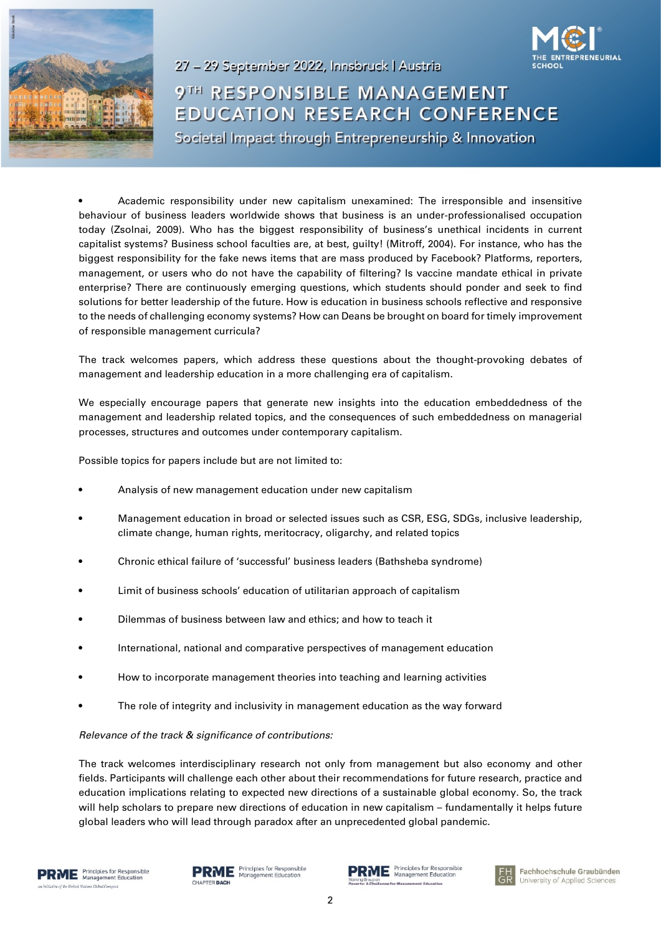



9TH RESPONSIBLE MANAGEMENT **EDUCATION RESEARCH CONFERENCE** Societal Impact through Entrepreneurship & Innovation

• Academic responsibility under new capitalism unexamined: The irresponsible and insensitive behaviour of business leaders worldwide shows that business is an under-professionalised occupation today (Zsolnai, 2009). Who has the biggest responsibility of business's unethical incidents in current capitalist systems? Business school faculties are, at best, guilty! (Mitroff, 2004). For instance, who has the biggest responsibility for the fake news items that are mass produced by Facebook? Platforms, reporters, management, or users who do not have the capability of filtering? Is vaccine mandate ethical in private enterprise? There are continuously emerging questions, which students should ponder and seek to find solutions for better leadership of the future. How is education in business schools reflective and responsive to the needs of challenging economy systems? How can Deans be brought on board for timely improvement of responsible management curricula?

27 - 29 September 2022, Innsbruck | Austria

The track welcomes papers, which address these questions about the thought-provoking debates of management and leadership education in a more challenging era of capitalism.

We especially encourage papers that generate new insights into the education embeddedness of the management and leadership related topics, and the consequences of such embeddedness on managerial processes, structures and outcomes under contemporary capitalism.

Possible topics for papers include but are not limited to:

- Analysis of new management education under new capitalism
- Management education in broad or selected issues such as CSR, ESG, SDGs, inclusive leadership, climate change, human rights, meritocracy, oligarchy, and related topics
- Chronic ethical failure of 'successful' business leaders (Bathsheba syndrome)
- Limit of business schools' education of utilitarian approach of capitalism
- Dilemmas of business between law and ethics; and how to teach it
- International, national and comparative perspectives of management education
- How to incorporate management theories into teaching and learning activities
- The role of integrity and inclusivity in management education as the way forward

#### *Relevance of the track & significance of contributions:*

The track welcomes interdisciplinary research not only from management but also economy and other fields. Participants will challenge each other about their recommendations for future research, practice and education implications relating to expected new directions of a sustainable global economy. So, the track will help scholars to prepare new directions of education in new capitalism – fundamentally it helps future global leaders who will lead through paradox after an unprecedented global pandemic.